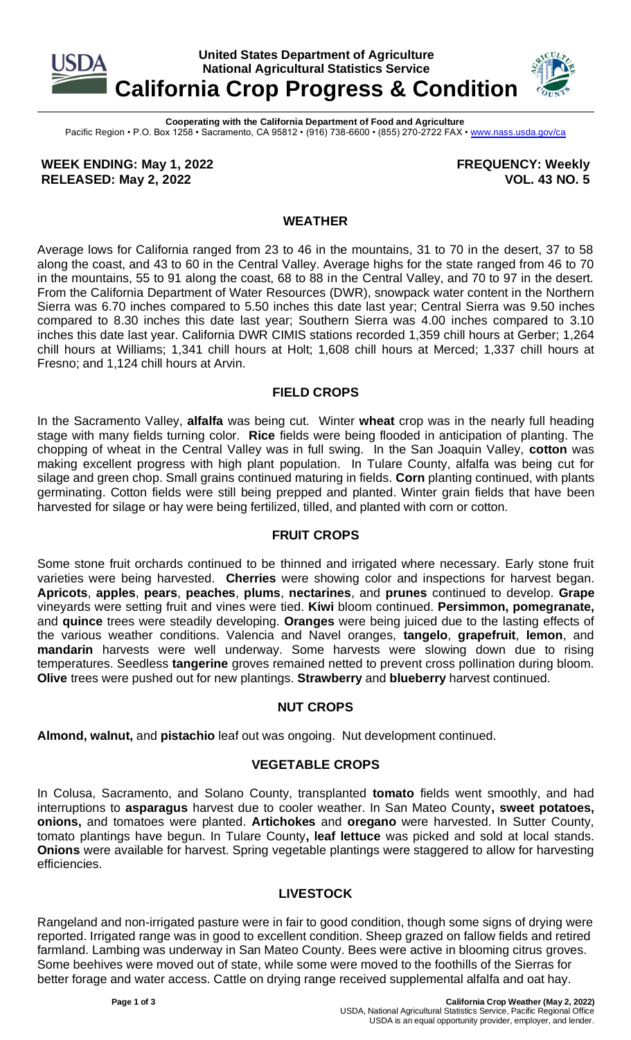

**Cooperating with the California Department of Food and Agriculture** Pacific Region • P.O. Box 1258 • Sacramento, CA 95812 • (916) 738-6600 • (855) 270-2722 FAX [• www.nass.usda.gov/ca](http://www.nass.usda.gov/ca)

**WEEK ENDING: May 1, 2022 RELEASED: May 2, 2022**

**FREQUENCY: Weekly VOL. 43 NO. 5**

### **WEATHER**

Average lows for California ranged from 23 to 46 in the mountains, 31 to 70 in the desert, 37 to 58 along the coast, and 43 to 60 in the Central Valley. Average highs for the state ranged from 46 to 70 in the mountains, 55 to 91 along the coast, 68 to 88 in the Central Valley, and 70 to 97 in the desert. From the California Department of Water Resources (DWR), snowpack water content in the Northern Sierra was 6.70 inches compared to 5.50 inches this date last year; Central Sierra was 9.50 inches compared to 8.30 inches this date last year; Southern Sierra was 4.00 inches compared to 3.10 inches this date last year. California DWR CIMIS stations recorded 1,359 chill hours at Gerber; 1,264 chill hours at Williams; 1,341 chill hours at Holt; 1,608 chill hours at Merced; 1,337 chill hours at Fresno; and 1,124 chill hours at Arvin.

### **FIELD CROPS**

In the Sacramento Valley, **alfalfa** was being cut. Winter **wheat** crop was in the nearly full heading stage with many fields turning color. **Rice** fields were being flooded in anticipation of planting. The chopping of wheat in the Central Valley was in full swing. In the San Joaquin Valley, **cotton** was making excellent progress with high plant population. In Tulare County, alfalfa was being cut for silage and green chop. Small grains continued maturing in fields. **Corn** planting continued, with plants germinating. Cotton fields were still being prepped and planted. Winter grain fields that have been harvested for silage or hay were being fertilized, tilled, and planted with corn or cotton.

# **FRUIT CROPS**

Some stone fruit orchards continued to be thinned and irrigated where necessary. Early stone fruit varieties were being harvested. **Cherries** were showing color and inspections for harvest began. **Apricots**, **apples**, **pears**, **peaches**, **plums**, **nectarines**, and **prunes** continued to develop. **Grape** vineyards were setting fruit and vines were tied. **Kiwi** bloom continued. **Persimmon, pomegranate,** and **quince** trees were steadily developing. **Oranges** were being juiced due to the lasting effects of the various weather conditions. Valencia and Navel oranges, **tangelo**, **grapefruit**, **lemon**, and **mandarin** harvests were well underway. Some harvests were slowing down due to rising temperatures. Seedless **tangerine** groves remained netted to prevent cross pollination during bloom. **Olive** trees were pushed out for new plantings. **Strawberry** and **blueberry** harvest continued.

### **NUT CROPS**

**Almond, walnut,** and **pistachio** leaf out was ongoing. Nut development continued.

# **VEGETABLE CROPS**

In Colusa, Sacramento, and Solano County, transplanted **tomato** fields went smoothly, and had interruptions to **asparagus** harvest due to cooler weather. In San Mateo County**, sweet potatoes, onions,** and tomatoes were planted. **Artichokes** and **oregano** were harvested. In Sutter County, tomato plantings have begun. In Tulare County**, leaf lettuce** was picked and sold at local stands. **Onions** were available for harvest. Spring vegetable plantings were staggered to allow for harvesting efficiencies.

# **LIVESTOCK**

Rangeland and non-irrigated pasture were in fair to good condition, though some signs of drying were reported. Irrigated range was in good to excellent condition. Sheep grazed on fallow fields and retired farmland. Lambing was underway in San Mateo County. Bees were active in blooming citrus groves. Some beehives were moved out of state, while some were moved to the foothills of the Sierras for better forage and water access. Cattle on drying range received supplemental alfalfa and oat hay.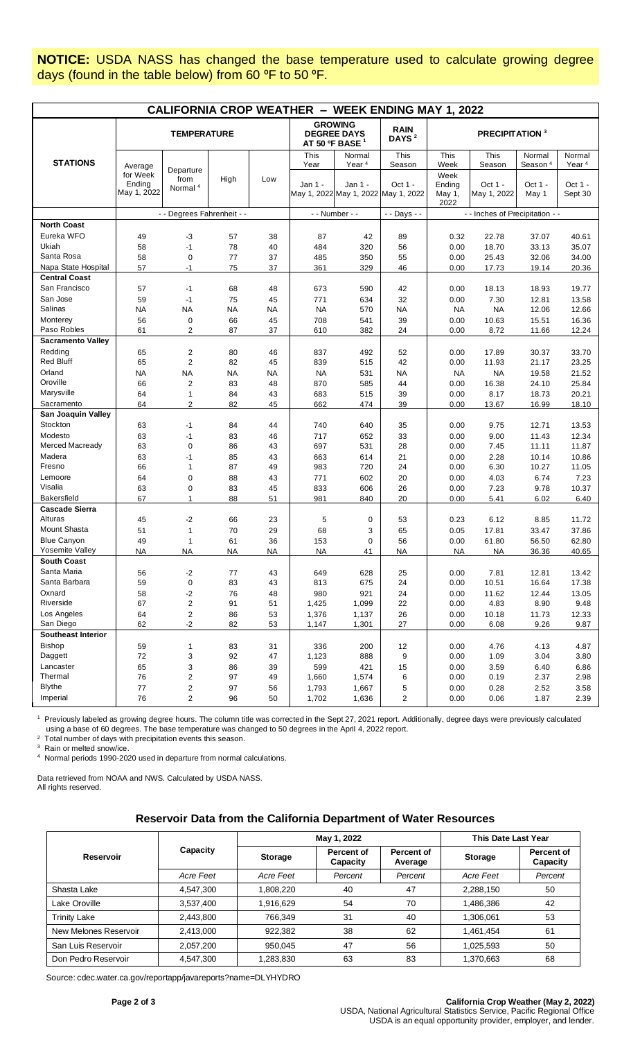**NOTICE:** USDA NASS has changed the base temperature used to calculate growing degree days (found in the table below) from 60 °F to 50 °F.

| <b>CALIFORNIA CROP WEATHER - WEEK ENDING MAY 1, 2022</b> |                                              |                                          |           |           |                                                                    |                                                |                                  |                                   |                        |                               |                             |
|----------------------------------------------------------|----------------------------------------------|------------------------------------------|-----------|-----------|--------------------------------------------------------------------|------------------------------------------------|----------------------------------|-----------------------------------|------------------------|-------------------------------|-----------------------------|
|                                                          | <b>TEMPERATURE</b>                           |                                          |           |           | <b>GROWING</b><br><b>DEGREE DAYS</b><br>AT 50 °F BASE <sup>1</sup> |                                                | <b>RAIN</b><br>DAYS <sup>2</sup> | <b>PRECIPITATION</b> <sup>3</sup> |                        |                               |                             |
| <b>STATIONS</b>                                          |                                              |                                          |           |           | This<br>Year                                                       | Normal<br>Year <sup>4</sup>                    | This<br>Season                   | This<br>Week                      | This<br>Season         | Normal<br>Season <sup>4</sup> | Normal<br>Year <sup>4</sup> |
|                                                          | Average<br>for Week<br>Ending<br>May 1, 2022 | Departure<br>from<br>Normal <sup>4</sup> | High      | Low       | Jan 1 -                                                            | Jan 1 -<br>May 1, 2022 May 1, 2022 May 1, 2022 | Oct 1 -                          | Week<br>Ending<br>May 1,<br>2022  | Oct 1 -<br>May 1, 2022 | Oct 1 -<br>May 1              | Oct 1 -<br>Sept 30          |
|                                                          |                                              | - - Degrees Fahrenheit - -               |           |           | - - Number - -                                                     |                                                | - - Days - -                     | - - Inches of Precipitation - -   |                        |                               |                             |
| <b>North Coast</b>                                       |                                              |                                          |           |           |                                                                    |                                                |                                  |                                   |                        |                               |                             |
| Eureka WFO                                               | 49                                           | -3                                       | 57        | 38        | 87                                                                 | 42                                             | 89                               | 0.32                              | 22.78                  | 37.07                         | 40.61                       |
| Ukiah                                                    | 58                                           | $-1$                                     | 78        | 40        | 484                                                                | 320                                            | 56                               | 0.00                              | 18.70                  | 33.13                         | 35.07                       |
| Santa Rosa                                               | 58                                           | $\mathbf 0$                              | 77        | 37        | 485                                                                | 350                                            | 55                               | 0.00                              | 25.43                  | 32.06                         | 34.00                       |
| Napa State Hospital                                      | 57                                           | $-1$                                     | 75        | 37        | 361                                                                | 329                                            | 46                               | 0.00                              | 17.73                  | 19.14                         | 20.36                       |
| <b>Central Coast</b>                                     |                                              |                                          |           |           |                                                                    |                                                |                                  |                                   |                        |                               |                             |
| San Francisco                                            | 57                                           | $-1$                                     | 68        | 48        | 673                                                                | 590                                            | 42                               | 0.00                              | 18.13                  | 18.93                         | 19.77                       |
| San Jose                                                 | 59                                           | $-1$                                     | 75        | 45        | 771                                                                | 634                                            | 32                               | 0.00                              | 7.30                   | 12.81                         | 13.58                       |
| Salinas                                                  | <b>NA</b>                                    | <b>NA</b>                                | <b>NA</b> | NA        | <b>NA</b>                                                          | 570                                            | <b>NA</b>                        | <b>NA</b>                         | <b>NA</b>              | 12.06                         | 12.66                       |
| Monterey                                                 | 56                                           | $\mathbf 0$                              | 66        | 45        | 708                                                                | 541                                            | 39                               | 0.00                              | 10.63                  | 15.51                         | 16.36                       |
| Paso Robles                                              | 61                                           | 2                                        | 87        | 37        | 610                                                                | 382                                            | 24                               | 0.00                              | 8.72                   | 11.66                         | 12.24                       |
| <b>Sacramento Valley</b>                                 |                                              |                                          |           |           |                                                                    |                                                |                                  |                                   |                        |                               |                             |
| Redding                                                  | 65                                           | $\overline{2}$                           | 80        | 46        | 837                                                                | 492                                            | 52                               | 0.00                              | 17.89                  | 30.37                         | 33.70                       |
| <b>Red Bluff</b>                                         | 65                                           | $\overline{2}$                           | 82        | 45        | 839                                                                | 515                                            | 42                               | 0.00                              | 11.93                  | 21.17                         | 23.25                       |
| Orland                                                   | <b>NA</b>                                    | <b>NA</b>                                | <b>NA</b> | <b>NA</b> | <b>NA</b>                                                          | 531                                            | <b>NA</b>                        | <b>NA</b>                         | <b>NA</b>              | 19.58                         | 21.52                       |
| Oroville                                                 | 66                                           | $\overline{2}$                           | 83        | 48        | 870                                                                | 585                                            | 44                               | 0.00                              | 16.38                  | 24.10                         | 25.84                       |
| Marysville<br>Sacramento                                 | 64                                           | $\mathbf{1}$                             | 84        | 43        | 683                                                                | 515                                            | 39                               | 0.00                              | 8.17                   | 18.73                         | 20.21                       |
|                                                          | 64                                           | 2                                        | 82        | 45        | 662                                                                | 474                                            | 39                               | 0.00                              | 13.67                  | 16.99                         | 18.10                       |
| San Joaquin Valley<br>Stockton                           | 63                                           | $-1$                                     | 84        | 44        | 740                                                                | 640                                            | 35                               | 0.00                              | 9.75                   | 12.71                         | 13.53                       |
| Modesto                                                  | 63                                           | $-1$                                     | 83        | 46        | 717                                                                | 652                                            | 33                               | 0.00                              | 9.00                   | 11.43                         | 12.34                       |
| <b>Merced Macready</b>                                   | 63                                           | $\mathbf 0$                              | 86        | 43        | 697                                                                | 531                                            | 28                               | 0.00                              | 7.45                   | 11.11                         | 11.87                       |
| Madera                                                   | 63                                           | $-1$                                     | 85        | 43        | 663                                                                | 614                                            | 21                               | 0.00                              | 2.28                   | 10.14                         | 10.86                       |
| Fresno                                                   | 66                                           | 1                                        | 87        | 49        | 983                                                                | 720                                            | 24                               | 0.00                              | 6.30                   | 10.27                         | 11.05                       |
| Lemoore                                                  | 64                                           | $\mathbf 0$                              | 88        | 43        | 771                                                                | 602                                            | 20                               | 0.00                              | 4.03                   | 6.74                          | 7.23                        |
| Visalia                                                  | 63                                           | 0                                        | 83        | 45        | 833                                                                | 606                                            | 26                               | 0.00                              | 7.23                   | 9.78                          | 10.37                       |
| Bakersfield                                              | 67                                           | 1                                        | 88        | 51        | 981                                                                | 840                                            | 20                               | 0.00                              | 5.41                   | 6.02                          | 6.40                        |
| <b>Cascade Sierra</b>                                    |                                              |                                          |           |           |                                                                    |                                                |                                  |                                   |                        |                               |                             |
| Alturas                                                  | 45                                           | -2                                       | 66        | 23        | 5                                                                  | 0                                              | 53                               | 0.23                              | 6.12                   | 8.85                          | 11.72                       |
| <b>Mount Shasta</b>                                      | 51                                           | 1                                        | 70        | 29        | 68                                                                 | 3                                              | 65                               | 0.05                              | 17.81                  | 33.47                         | 37.86                       |
| <b>Blue Canyon</b>                                       | 49                                           | $\mathbf{1}$                             | 61        | 36        | 153                                                                | 0                                              | 56                               | 0.00                              | 61.80                  | 56.50                         | 62.80                       |
| Yosemite Valley                                          | <b>NA</b>                                    | NA                                       | NA        | NA        | <b>NA</b>                                                          | 41                                             | <b>NA</b>                        | NA                                | <b>NA</b>              | 36.36                         | 40.65                       |
| <b>South Coast</b>                                       |                                              |                                          |           |           |                                                                    |                                                |                                  |                                   |                        |                               |                             |
| Santa Maria                                              | 56                                           | $-2$                                     | 77        | 43        | 649                                                                | 628                                            | 25                               | 0.00                              | 7.81                   | 12.81                         | 13.42                       |
| Santa Barbara                                            | 59                                           | $\pmb{0}$                                | 83        | 43        | 813                                                                | 675                                            | 24                               | 0.00                              | 10.51                  | 16.64                         | 17.38                       |
| Oxnard                                                   | 58                                           | $-2$                                     | 76        | 48        | 980                                                                | 921                                            | 24                               | 0.00                              | 11.62                  | 12.44                         | 13.05                       |
| Riverside                                                | 67                                           | $\overline{2}$                           | 91        | 51        | 1,425                                                              | 1,099                                          | 22                               | 0.00                              | 4.83                   | 8.90                          | 9.48                        |
| Los Angeles                                              | 64                                           | $\overline{\mathbf{c}}$                  | 86        | 53        | 1,376                                                              | 1,137                                          | 26                               | 0.00                              | 10.18                  | 11.73                         | 12.33                       |
| San Diego                                                | 62                                           | $-2$                                     | 82        | 53        | 1,147                                                              | 1,301                                          | 27                               | 0.00                              | 6.08                   | 9.26                          | 9.87                        |
| <b>Southeast Interior</b>                                |                                              |                                          |           |           |                                                                    |                                                |                                  |                                   |                        |                               |                             |
| <b>Bishop</b>                                            | 59                                           | 1                                        | 83        | 31        | 336                                                                | 200                                            | 12                               | 0.00                              | 4.76                   | 4.13                          | 4.87                        |
| Daggett                                                  | 72                                           | 3                                        | 92        | 47        | 1,123                                                              | 888                                            | 9                                | 0.00                              | 1.09                   | 3.04                          | 3.80                        |
| Lancaster                                                | 65                                           | 3                                        | 86        | 39        | 599                                                                | 421                                            | 15                               | 0.00                              | 3.59                   | 6.40                          | 6.86                        |
| Thermal                                                  | 76                                           | $\overline{c}$                           | 97        | 49        | 1,660                                                              | 1,574                                          | 6                                | 0.00                              | 0.19                   | 2.37                          | 2.98                        |
| <b>Blythe</b>                                            | 77                                           | $\overline{2}$                           | 97        | 56        | 1,793                                                              | 1,667                                          | 5                                | 0.00                              | 0.28                   | 2.52                          | 3.58                        |
| Imperial                                                 | 76                                           | $\overline{c}$                           | 96        | 50        | 1,702                                                              | 1,636                                          | $\overline{c}$                   | 0.00                              | 0.06                   | 1.87                          | 2.39                        |

<sup>1</sup> Previously labeled as growing degree hours. The column title was corrected in the Sept 27, 2021 report. Additionally, degree days were previously calculated using a base of 60 degrees. The base temperature was changed to 50 degrees in the April 4, 2022 report. 2 Total number of days with precipitation events this season.

3 Rain or melted snow/ice.

4 Normal periods 1990-2020 used in departure from normal calculations.

Data retrieved from NOAA and NWS. Calculated by USDA NASS. All rights reserved.

#### **Reservoir Data from the California Department of Water Resources**

|                       |           |           | May 1, 2022            | This Date Last Year   |                |                        |
|-----------------------|-----------|-----------|------------------------|-----------------------|----------------|------------------------|
| <b>Reservoir</b>      | Capacity  | Storage   | Percent of<br>Capacity | Percent of<br>Average | <b>Storage</b> | Percent of<br>Capacity |
|                       | Acre Feet | Acre Feet | Percent                | Percent               | Acre Feet      | Percent                |
| Shasta Lake           | 4,547,300 | 1,808,220 | 40                     | 47                    | 2,288,150      | 50                     |
| Lake Oroville         | 3,537,400 | 1,916,629 | 54                     | 70                    | 1,486,386      | 42                     |
| <b>Trinity Lake</b>   | 2,443,800 | 766,349   | 31                     | 40                    | 1,306,061      | 53                     |
| New Melones Reservoir | 2,413,000 | 922.382   | 38                     | 62                    | 1,461,454      | 61                     |
| San Luis Reservoir    | 2,057,200 | 950,045   | 47                     | 56                    | 1,025,593      | 50                     |
| Don Pedro Reservoir   | 4,547,300 | 1,283,830 | 63                     | 83                    | 1,370,663      | 68                     |

Source[: cdec.water.ca.gov/reportapp/javareports?name=DLYHYDRO](https://cdec.water.ca.gov/reportapp/javareports?name=DLYHYDRO)